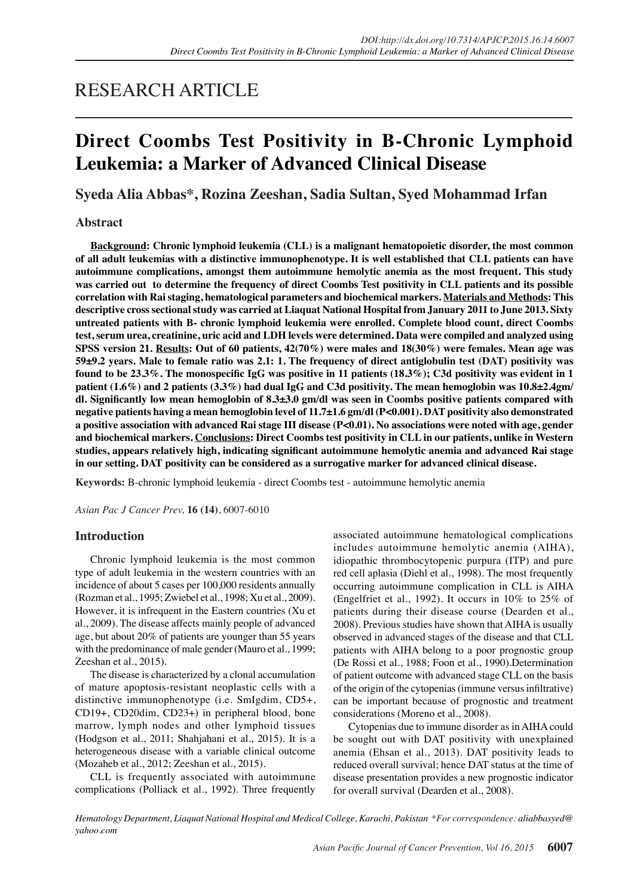# RESEARCH ARTICLE

# **Direct Coombs Test Positivity in B-Chronic Lymphoid Leukemia: a Marker of Advanced Clinical Disease**

**Syeda Alia Abbas\*, Rozina Zeeshan, Sadia Sultan, Syed Mohammad Irfan**

## **Abstract**

**Background: Chronic lymphoid leukemia (CLL) is a malignant hematopoietic disorder, the most common of all adult leukemias with a distinctive immunophenotype. It is well established that CLL patients can have autoimmune complications, amongst them autoimmune hemolytic anemia as the most frequent. This study was carried out to determine the frequency of direct Coombs Test positivity in CLL patients and its possible correlation with Rai staging, hematological parameters and biochemical markers. Materials and Methods: This descriptive cross sectional study was carried at Liaquat National Hospital from January 2011 to June 2013. Sixty untreated patients with B- chronic lymphoid leukemia were enrolled. Complete blood count, direct Coombs test, serum urea, creatinine, uric acid and LDH levels were determined. Data were compiled and analyzed using SPSS version 21. Results: Out of 60 patients, 42(70%) were males and 18(30%) were females. Mean age was 59±9.2 years. Male to female ratio was 2.1: 1. The frequency of direct antiglobulin test (DAT) positivity was found to be 23.3%. The monospecific IgG was positive in 11 patients (18.3%); C3d positivity was evident in 1 patient (1.6%) and 2 patients (3.3%) had dual IgG and C3d positivity. The mean hemoglobin was 10.8±2.4gm/ dl. Significantly low mean hemoglobin of 8.3±3.0 gm/dl was seen in Coombs positive patients compared with negative patients having a mean hemoglobin level of 11.7±1.6 gm/dl (P<0.001). DAT positivity also demonstrated a positive association with advanced Rai stage III disease (P<0.01). No associations were noted with age, gender and biochemical markers. Conclusions: Direct Coombs test positivity in CLL in our patients, unlike in Western studies, appears relatively high, indicating significant autoimmune hemolytic anemia and advanced Rai stage in our setting. DAT positivity can be considered as a surrogative marker for advanced clinical disease.**

**Keywords:** B-chronic lymphoid leukemia - direct Coombs test - autoimmune hemolytic anemia

*Asian Pac J Cancer Prev,* **16 (14)**, 6007-6010

## **Introduction**

Chronic lymphoid leukemia is the most common type of adult leukemia in the western countries with an incidence of about 5 cases per 100,000 residents annually (Rozman et al., 1995; Zwiebel et al., 1998; Xu et al., 2009). However, it is infrequent in the Eastern countries (Xu et al., 2009). The disease affects mainly people of advanced age, but about 20% of patients are younger than 55 years with the predominance of male gender (Mauro et al., 1999; Zeeshan et al., 2015).

The disease is characterized by a clonal accumulation of mature apoptosis-resistant neoplastic cells with a distinctive immunophenotype (i.e. SmIgdim, CD5+, CD19+, CD20dim, CD23+) in peripheral blood, bone marrow, lymph nodes and other lymphoid tissues (Hodgson et al., 2011; Shahjahani et al., 2015). It is a heterogeneous disease with a variable clinical outcome (Mozaheb et al., 2012; Zeeshan et al., 2015).

CLL is frequently associated with autoimmune complications (Polliack et al., 1992). Three frequently

associated autoimmune hematological complications includes autoimmune hemolytic anemia (AIHA), idiopathic thrombocytopenic purpura (ITP) and pure red cell aplasia (Diehl et al., 1998). The most frequently occurring autoimmune complication in CLL is AIHA (Engelfriet et al., 1992). It occurs in 10% to 25% of patients during their disease course (Dearden et al., 2008). Previous studies have shown that AIHA is usually observed in advanced stages of the disease and that CLL patients with AIHA belong to a poor prognostic group (De Rossi et al., 1988; Foon et al., 1990).Determination of patient outcome with advanced stage CLL on the basis of the origin of the cytopenias (immune versus infiltrative) can be important because of prognostic and treatment considerations (Moreno et al., 2008).

Cytopenias due to immune disorder as in AIHA could be sought out with DAT positivity with unexplained anemia (Ehsan et al., 2013). DAT positivity leads to reduced overall survival; hence DAT status at the time of disease presentation provides a new prognostic indicator for overall survival (Dearden et al., 2008).

*Hematology Department, Liaquat National Hospital and Medical College, Karachi, Pakistan \*For correspondence: aliabbasyed@ yahoo.com*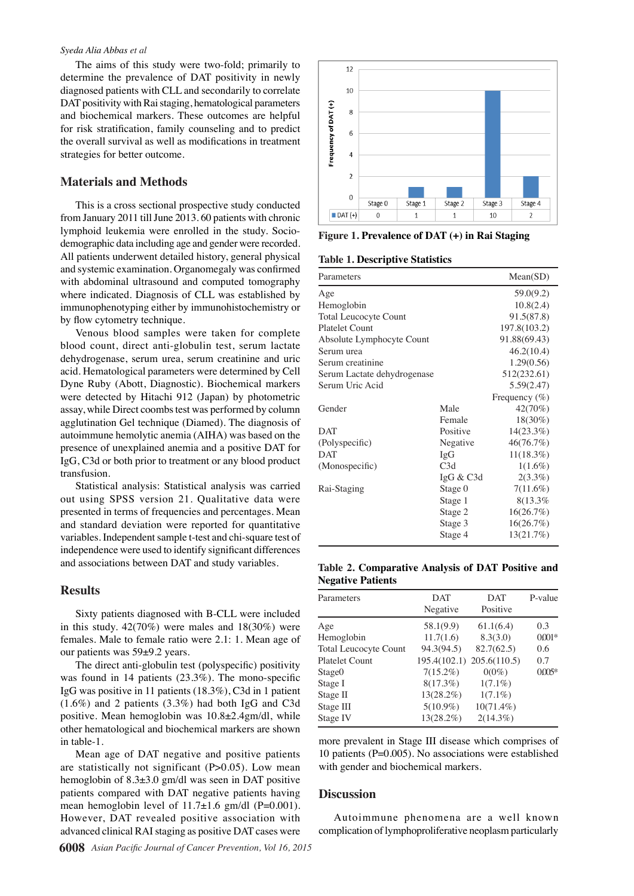#### *Syeda Alia Abbas et al*

The aims of this study were two-fold; primarily to determine the prevalence of DAT positivity in newly diagnosed patients with CLL and secondarily to correlate DAT positivity with Rai staging, hematological parameters and biochemical markers. These outcomes are helpful for risk stratification, family counseling and to predict the overall survival as well as modifications in treatment strategies for better outcome.

### **Materials and Methods**

This is a cross sectional prospective study conducted from January 2011 till June 2013. 60 patients with chronic lymphoid leukemia were enrolled in the study. Sociodemographic data including age and gender were recorded. All patients underwent detailed history, general physical and systemic examination. Organomegaly was confirmed with abdominal ultrasound and computed tomography where indicated. Diagnosis of CLL was established by immunophenotyping either by immunohistochemistry or by flow cytometry technique.

Venous blood samples were taken for complete blood count, direct anti-globulin test, serum lactate dehydrogenase, serum urea, serum creatinine and uric acid. Hematological parameters were determined by Cell Dyne Ruby (Abott, Diagnostic). Biochemical markers were detected by Hitachi 912 (Japan) by photometric assay, while Direct coombs test was performed by column agglutination Gel technique (Diamed). The diagnosis of autoimmune hemolytic anemia (AIHA) was based on the presence of unexplained anemia and a positive DAT for IgG, C3d or both prior to treatment or any blood product transfusion.

Statistical analysis: Statistical analysis was carried out using SPSS version 21. Qualitative data were presented in terms of frequencies and percentages. Mean and standard deviation were reported for quantitative variables. Independent sample t-test and chi-square test of independence were used to identify significant differences and associations between DAT and study variables.

#### **Results**

Sixty patients diagnosed with B-CLL were included in this study.  $42(70%)$  were males and  $18(30%)$  were females. Male to female ratio were 2.1: 1. Mean age of our patients was 59±9.2 years.

The direct anti-globulin test (polyspecific) positivity was found in 14 patients (23.3%). The mono-specific IgG was positive in 11 patients (18.3%), C3d in 1 patient (1.6%) and 2 patients (3.3%) had both IgG and C3d positive. Mean hemoglobin was 10.8±2.4gm/dl, while other hematological and biochemical markers are shown in table-1.

Mean age of DAT negative and positive patients are statistically not significant (P>0.05). Low mean hemoglobin of 8.3±3.0 gm/dl was seen in DAT positive patients compared with DAT negative patients having mean hemoglobin level of  $11.7\pm1.6$  gm/dl (P=0.001). However, DAT revealed positive association with advanced clinical RAI staging as positive DAT cases were



**Figure 1. Prevalence of DAT (+) in Rai Staging**

**Table 1. Descriptive Statistics**

| Parameters                   | Mean(SD)     |                   |  |
|------------------------------|--------------|-------------------|--|
| Age                          |              | 59.0(9.2)         |  |
| Hemoglobin                   |              | 10.8(2.4)         |  |
| <b>Total Leucocyte Count</b> |              |                   |  |
| <b>Platelet Count</b>        | 197.8(103.2) |                   |  |
| Absolute Lymphocyte Count    | 91.88(69.43) |                   |  |
| Serum urea                   | 46.2(10.4)   |                   |  |
| Serum creatinine             | 1.29(0.56)   |                   |  |
| Serum Lactate dehydrogenase  | 512(232.61)  |                   |  |
| Serum Uric Acid              | 5.59(2.47)   |                   |  |
|                              |              | Frequency $(\% )$ |  |
| Gender                       | Male         | 42(70%)           |  |
|                              | Female       | 18(30%)           |  |
| DAT                          | Positive     | 14(23.3%)         |  |
| (Polyspecific)               | Negative     | 46(76.7%)         |  |
| <b>DAT</b>                   | IgG          | $11(18.3\%)$      |  |
| (Monospecific)               | C3d          | $1(1.6\%)$        |  |
|                              | IgG & C3d    | $2(3.3\%)$        |  |
| Rai-Staging                  | Stage 0      | $7(11.6\%)$       |  |
|                              | Stage 1      | 8(13.3%           |  |
|                              | Stage 2      | 16(26.7%)         |  |
|                              | Stage 3      | 16(26.7%)         |  |
|                              | Stage 4      | 13(21.7%)         |  |

**Table 2. Comparative Analysis of DAT Positive and Negative Patients**

| Parameters                   | <b>DAT</b>   | DAT                       | P-value  |
|------------------------------|--------------|---------------------------|----------|
|                              | Negative     | Positive                  |          |
| Age                          | 58.1(9.9)    | 61.1(6.4)                 | 0.3      |
| Hemoglobin                   | 11.7(1.6)    | 8.3(3.0)                  | $0.001*$ |
| <b>Total Leucocyte Count</b> | 94.3(94.5)   | 82.7(62.5)                | 0.6      |
| <b>Platelet Count</b>        |              | 195.4(102.1) 205.6(110.5) | 0.7      |
| Stage <sub>0</sub>           | $7(15.2\%)$  | $0(0\%)$                  | $0005*$  |
| Stage I                      | $8(17.3\%)$  | $1(7.1\%)$                |          |
| Stage II                     | $13(28.2\%)$ | $1(7.1\%)$                |          |
| Stage III                    | $5(10.9\%)$  | $10(71.4\%)$              |          |
| Stage IV                     | 13(28.2%)    | $2(14.3\%)$               |          |

more prevalent in Stage III disease which comprises of 10 patients (P=0.005). No associations were established with gender and biochemical markers.

#### **Discussion**

Autoimmune phenomena are a well known complication of lymphoproliferative neoplasm particularly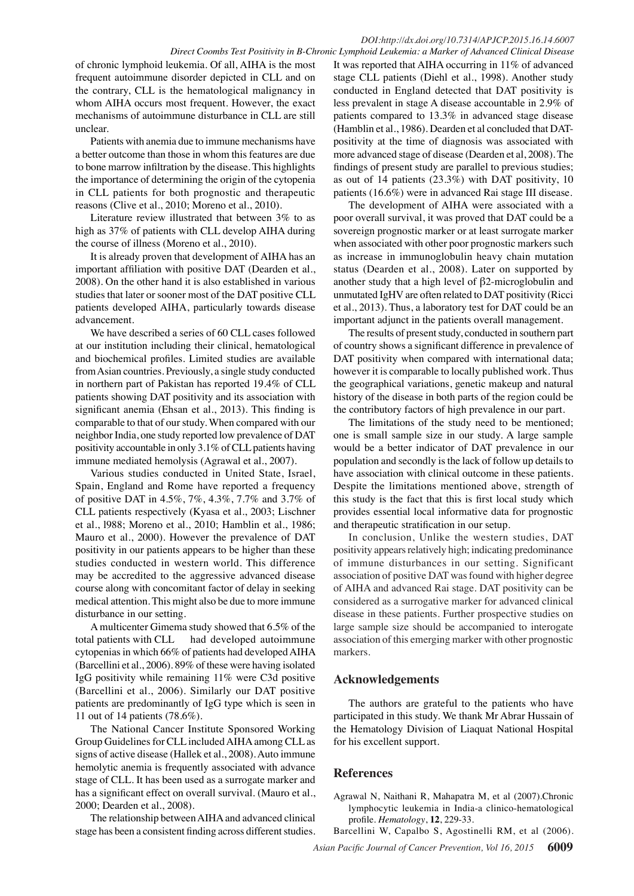### *DOI:http://dx.doi.org/10.7314/APJCP.2015.16.14.6007 Direct Coombs Test Positivity in B-Chronic Lymphoid Leukemia: a Marker of Advanced Clinical Disease*

of chronic lymphoid leukemia. Of all, AIHA is the most frequent autoimmune disorder depicted in CLL and on the contrary, CLL is the hematological malignancy in whom AIHA occurs most frequent. However, the exact mechanisms of autoimmune disturbance in CLL are still unclear.

Patients with anemia due to immune mechanisms have a better outcome than those in whom this features are due to bone marrow infiltration by the disease. This highlights the importance of determining the origin of the cytopenia in CLL patients for both prognostic and therapeutic reasons (Clive et al., 2010; Moreno et al., 2010).

Literature review illustrated that between 3% to as high as 37% of patients with CLL develop AIHA during the course of illness (Moreno et al., 2010).

It is already proven that development of AIHA has an important affiliation with positive DAT (Dearden et al., 2008). On the other hand it is also established in various studies that later or sooner most of the DAT positive CLL patients developed AIHA, particularly towards disease advancement.

We have described a series of 60 CLL cases followed at our institution including their clinical, hematological and biochemical profiles. Limited studies are available from Asian countries. Previously, a single study conducted in northern part of Pakistan has reported 19.4% of CLL patients showing DAT positivity and its association with significant anemia (Ehsan et al., 2013). This finding is comparable to that of our study. When compared with our neighbor India, one study reported low prevalence of DAT positivity accountable in only 3.1% of CLL patients having immune mediated hemolysis (Agrawal et al., 2007).

Various studies conducted in United State, Israel, Spain, England and Rome have reported a frequency of positive DAT in 4.5%, 7%, 4.3%, 7.7% and 3.7% of CLL patients respectively (Kyasa et al., 2003; Lischner et al., l988; Moreno et al., 2010; Hamblin et al., 1986; Mauro et al., 2000). However the prevalence of DAT positivity in our patients appears to be higher than these studies conducted in western world. This difference may be accredited to the aggressive advanced disease course along with concomitant factor of delay in seeking medical attention. This might also be due to more immune disturbance in our setting.

A multicenter Gimema study showed that 6.5% of the total patients with CLL had developed autoimmune cytopenias in which 66% of patients had developed AIHA (Barcellini et al., 2006). 89% of these were having isolated IgG positivity while remaining 11% were C3d positive (Barcellini et al., 2006). Similarly our DAT positive patients are predominantly of IgG type which is seen in 11 out of 14 patients (78.6%).

The National Cancer Institute Sponsored Working Group Guidelines for CLL included AIHA among CLL as signs of active disease (Hallek et al., 2008). Auto immune hemolytic anemia is frequently associated with advance stage of CLL. It has been used as a surrogate marker and has a significant effect on overall survival. (Mauro et al., 2000; Dearden et al., 2008).

The relationship between AIHA and advanced clinical stage has been a consistent finding across different studies.

It was reported that AIHA occurring in 11% of advanced stage CLL patients (Diehl et al., 1998). Another study conducted in England detected that DAT positivity is less prevalent in stage A disease accountable in 2.9% of patients compared to 13.3% in advanced stage disease (Hamblin et al., 1986). Dearden et al concluded that DATpositivity at the time of diagnosis was associated with more advanced stage of disease (Dearden et al, 2008). The findings of present study are parallel to previous studies; as out of 14 patients (23.3%) with DAT positivity, 10 patients (16.6%) were in advanced Rai stage III disease.

The development of AIHA were associated with a poor overall survival, it was proved that DAT could be a sovereign prognostic marker or at least surrogate marker when associated with other poor prognostic markers such as increase in immunoglobulin heavy chain mutation status (Dearden et al., 2008). Later on supported by another study that a high level of β2-microglobulin and unmutated IgHV are often related to DAT positivity (Ricci et al., 2013). Thus, a laboratory test for DAT could be an important adjunct in the patients overall management.

The results of present study, conducted in southern part of country shows a significant difference in prevalence of DAT positivity when compared with international data; however it is comparable to locally published work. Thus the geographical variations, genetic makeup and natural history of the disease in both parts of the region could be the contributory factors of high prevalence in our part.

The limitations of the study need to be mentioned; one is small sample size in our study. A large sample would be a better indicator of DAT prevalence in our population and secondly is the lack of follow up details to have association with clinical outcome in these patients. Despite the limitations mentioned above, strength of this study is the fact that this is first local study which provides essential local informative data for prognostic and therapeutic stratification in our setup.

In conclusion, Unlike the western studies, DAT positivity appears relatively high; indicating predominance of immune disturbances in our setting. Significant association of positive DAT was found with higher degree of AIHA and advanced Rai stage. DAT positivity can be considered as a surrogative marker for advanced clinical disease in these patients. Further prospective studies on large sample size should be accompanied to interogate association of this emerging marker with other prognostic markers.

## **Acknowledgements**

The authors are grateful to the patients who have participated in this study. We thank Mr Abrar Hussain of the Hematology Division of Liaquat National Hospital for his excellent support.

## **References**

Agrawal N, Naithani R, Mahapatra M, et al (2007).Chronic lymphocytic leukemia in India-a clinico-hematological profile. *Hematology*, **12**, 229-33.

Barcellini W, Capalbo S, Agostinelli RM, et al (2006).